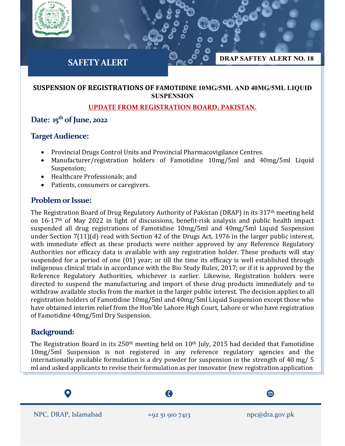

#### **SUSPENSION OF REGISTRATIONS OF FAMOTIDINE 10MG/5ML AND 40MG/5ML LIQUID SUSPENSION**

### **UPDATE FROM REGISTRATION BOARD, PAKISTAN.**

# **Date: 15th of June, 2022**

### **Target Audience:**

- Provincial Drugs Control Units and Provincial Pharmacovigilance Centres.
- Manufacturer/registration holders of Famotidine 10mg/5ml and 40mg/5ml Liquid Suspension;
- Healthcare Professionals; and
- Patients, consumers or caregivers.

# **Problem or Issue:**

The Registration Board of Drug Regulatory Authority of Pakistan (DRAP) in its 317<sup>th</sup> meeting held on 16-17th of May 2022 in light of discussions, benefit-risk analysis and public health impact suspended all drug registrations of Famotidine 10mg/5ml and 40mg/5ml Liquid Suspension under Section 7(11)(d) read with Section 42 of the Drugs Act, 1976 in the larger public interest, with immediate effect as these products were neither approved by any Reference Regulatory Authorities nor efficacy data is available with any registration holder. These products will stay suspended for a period of one (01) year; or till the time its efficacy is well established through indigenous clinical trials in accordance with the Bio Study Rules, 2017; or if it is approved by the Reference Regulatory Authorities, whichever is earlier. Likewise, Registration holders were directed to suspend the manufacturing and import of these drug products immediately and to withdraw available stocks from the market in the larger public interest. The decision applies to all registration holders of Famotidine 10mg/5ml and 40mg/5ml Liquid Suspension except those who have obtained interim relief from the Hon'ble Lahore High Court, Lahore or who have registration of Famotidine 40mg/5ml Dry Suspension.

# **Background:**

The Registration Board in its  $250<sup>th</sup>$  meeting held on  $10<sup>th</sup>$  July, 2015 had decided that Famotidine 10mg/5ml Suspension is not registered in any reference regulatory agencies and the internationally available formulation is a dry powder for suspension in the strength of 40 mg/ 5 ml and asked applicants to revise their formulation as per innovator (new registration application

A  $\boldsymbol{\Xi}$ NPC, DRAP, Islamabad +92 51 910 7413 npc@dra.gov.pk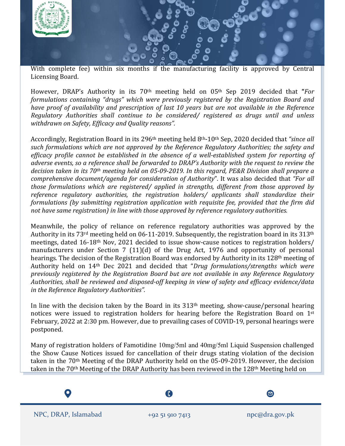

With complete fee) within six months if the manufacturing facility is approved by Central Licensing Board.

However, DRAP's Authority in its 70th meeting held on 05th Sep 2019 decided that **"***For formulations containing "drugs" which were previously registered by the Registration Board and have proof of availability and prescription of last 10 years but are not available in the Reference Regulatory Authorities shall continue to be considered/ registered as drugs until and unless withdrawn on Safety, Efficacy and Quality reasons".*

Accordingly, Registration Board in its 296th meeting held 8th-10th Sep, 2020 decided that *"since all such formulations which are not approved by the Reference Regulatory Authorities; the safety and efficacy profile cannot be established in the absence of a well-established system for reporting of adverse events, so a reference shall be forwarded to DRAP's Authority with the request to review the decision taken in its 70th meeting held on 05-09-2019. In this regard, PE&R Division shall prepare a comprehensive document/agenda for consideration of Authority*". It was also decided that *"For all those formulations which are registered/ applied in strengths, different from those approved by reference regulatory authorities, the registration holders/ applicants shall standardize their formulations (by submitting registration application with requisite fee, provided that the firm did not have same registration) in line with those approved by reference regulatory authorities.*

Meanwhile, the policy of reliance on reference regulatory authorities was approved by the Authority in its 73<sup>rd</sup> meeting held on 06-11-2019. Subsequently, the registration board in its 313<sup>th</sup> meetings, dated 16-18th Nov, 2021 decided to issue show-cause notices to registration holders/ manufacturers under Section 7 (11)(d) of the Drug Act, 1976 and opportunity of personal hearings. The decision of the Registration Board was endorsed by Authority in its 128th meeting of Authority held on 14th Dec 2021 and decided that "*Drug formulations/strengths which were previously registered by the Registration Board but are not available in any Reference Regulatory Authorities, shall be reviewed and disposed-off keeping in view of safety and efficacy evidence/data in the Reference Regulatory Authorities".*

In line with the decision taken by the Board in its 313th meeting, show-cause/personal hearing notices were issued to registration holders for hearing before the Registration Board on 1st February, 2022 at 2:30 pm. However, due to prevailing cases of COVID-19, personal hearings were postponed.

Many of registration holders of Famotidine 10mg/5ml and 40mg/5ml Liquid Suspension challenged the Show Cause Notices issued for cancellation of their drugs stating violation of the decision taken in the 70<sup>th</sup> Meeting of the DRAP Authority held on the 05-09-2019. However, the decision taken in the 70<sup>th</sup> Meeting of the DRAP Authority has been reviewed in the 128<sup>th</sup> Meeting held on

NPC, DRAP, Islamabad +92 51 910 7413 npc@dra.gov.pk

ß



 $\boldsymbol{\Xi}$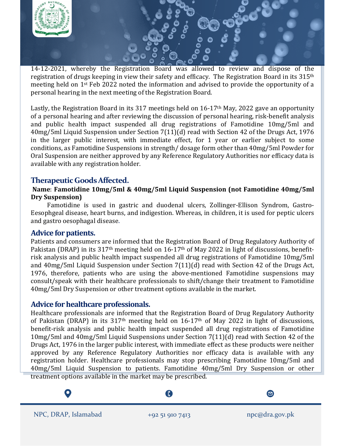

14-12-2021, whereby the Registration Board was allowed to review and dispose of the registration of drugs keeping in view their safety and efficacy. The Registration Board in its 315th meeting held on 1st Feb 2022 noted the information and advised to provide the opportunity of a personal hearing in the next meeting of the Registration Board.

Lastly, the Registration Board in its 317 meetings held on 16-17th May, 2022 gave an opportunity of a personal hearing and after reviewing the discussion of personal hearing, risk-benefit analysis and public health impact suspended all drug registrations of Famotidine 10mg/5ml and 40mg/5ml Liquid Suspension under Section 7(11)(d) read with Section 42 of the Drugs Act, 1976 in the larger public interest, with immediate effect, for 1 year or earlier subject to some conditions, as Famotidine Suspensions in strength/ dosage form other than 40mg/5ml Powder for Oral Suspension are neither approved by any Reference Regulatory Authorities nor efficacy data is available with any registration holder.

# **Therapeutic GoodsAffected.**

#### **Name**: **Famotidine 10mg/5ml & 40mg/5ml Liquid Suspension (not Famotidine 40mg/5ml Dry Suspension)**

 Famotidine is used in gastric and duodenal ulcers, Zollinger-Ellison Syndrom, Gastro-Eesophgeal disease, heart burns, and indigestion. Whereas, in children, it is used for peptic ulcers and gastro oesophagal disease.

#### **Advice for patients.**

Patients and consumers are informed that the Registration Board of Drug Regulatory Authority of Pakistan (DRAP) in its 317<sup>th</sup> meeting held on 16-17<sup>th</sup> of May 2022 in light of discussions, benefitrisk analysis and public health impact suspended all drug registrations of Famotidine 10mg/5ml and 40mg/5ml Liquid Suspension under Section 7(11)(d) read with Section 42 of the Drugs Act, 1976, therefore, patients who are using the above-mentioned Famotidine suspensions may consult/speak with their healthcare professionals to shift/change their treatment to Famotidine 40mg/5ml Dry Suspension or other treatment options available in the market.

#### **Advice for healthcare professionals.**

Healthcare professionals are informed that the Registration Board of Drug Regulatory Authority of Pakistan (DRAP) in its  $317<sup>th</sup>$  meeting held on  $16-17<sup>th</sup>$  of May 2022 in light of discussions, benefit-risk analysis and public health impact suspended all drug registrations of Famotidine 10mg/5ml and 40mg/5ml Liquid Suspensions under Section 7(11)(d) read with Section 42 of the Drugs Act, 1976 in the larger public interest, with immediate effect as these products were neither approved by any Reference Regulatory Authorities nor efficacy data is available with any registration holder. Healthcare professionals may stop prescribing Famotidine 10mg/5ml and 40mg/5ml Liquid Suspension to patients. Famotidine 40mg/5ml Dry Suspension or other treatment options available in the market may be prescribed.